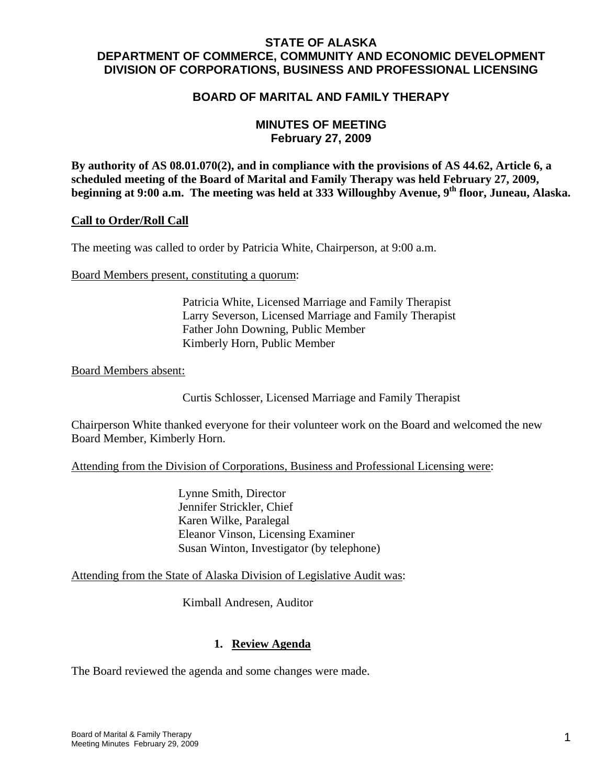# **STATE OF ALASKA DEPARTMENT OF COMMERCE, COMMUNITY AND ECONOMIC DEVELOPMENT DIVISION OF CORPORATIONS, BUSINESS AND PROFESSIONAL LICENSING**

# **BOARD OF MARITAL AND FAMILY THERAPY**

# **MINUTES OF MEETING February 27, 2009**

**By authority of AS 08.01.070(2), and in compliance with the provisions of AS 44.62, Article 6, a scheduled meeting of the Board of Marital and Family Therapy was held February 27, 2009,**  beginning at 9:00 a.m. The meeting was held at 333 Willoughby Avenue, 9<sup>th</sup> floor, Juneau, Alaska.

### **Call to Order/Roll Call**

The meeting was called to order by Patricia White, Chairperson, at 9:00 a.m.

Board Members present, constituting a quorum:

 Patricia White, Licensed Marriage and Family Therapist Larry Severson, Licensed Marriage and Family Therapist Father John Downing, Public Member Kimberly Horn, Public Member

Board Members absent:

Curtis Schlosser, Licensed Marriage and Family Therapist

Chairperson White thanked everyone for their volunteer work on the Board and welcomed the new Board Member, Kimberly Horn.

Attending from the Division of Corporations, Business and Professional Licensing were:

 Lynne Smith, Director Jennifer Strickler, Chief Karen Wilke, Paralegal Eleanor Vinson, Licensing Examiner Susan Winton, Investigator (by telephone)

### Attending from the State of Alaska Division of Legislative Audit was:

Kimball Andresen, Auditor

# **1. Review Agenda**

The Board reviewed the agenda and some changes were made.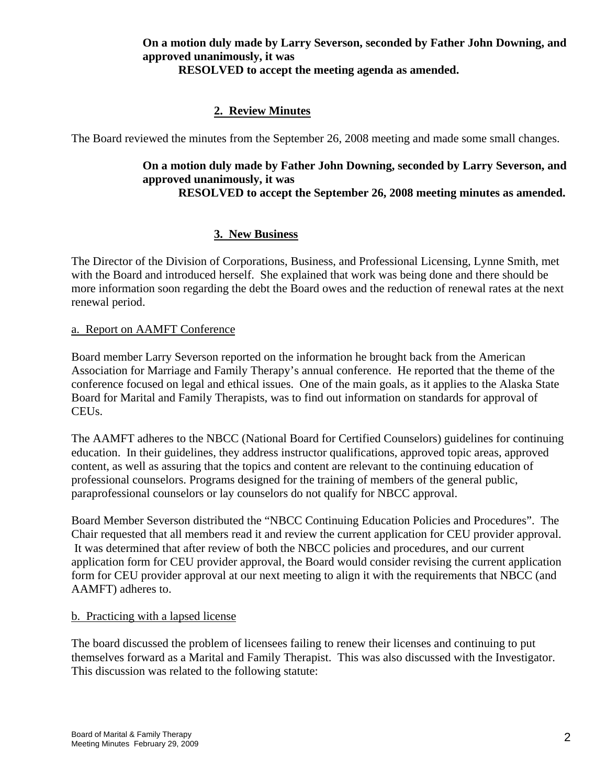### **On a motion duly made by Larry Severson, seconded by Father John Downing, and approved unanimously, it was RESOLVED to accept the meeting agenda as amended.**

# **2. Review Minutes**

The Board reviewed the minutes from the September 26, 2008 meeting and made some small changes.

### **On a motion duly made by Father John Downing, seconded by Larry Severson, and approved unanimously, it was RESOLVED to accept the September 26, 2008 meeting minutes as amended.**

# **3. New Business**

The Director of the Division of Corporations, Business, and Professional Licensing, Lynne Smith, met with the Board and introduced herself. She explained that work was being done and there should be more information soon regarding the debt the Board owes and the reduction of renewal rates at the next renewal period.

#### a. Report on AAMFT Conference

Board member Larry Severson reported on the information he brought back from the American Association for Marriage and Family Therapy's annual conference. He reported that the theme of the conference focused on legal and ethical issues. One of the main goals, as it applies to the Alaska State Board for Marital and Family Therapists, was to find out information on standards for approval of CEUs.

The AAMFT adheres to the NBCC (National Board for Certified Counselors) guidelines for continuing education. In their guidelines, they address instructor qualifications, approved topic areas, approved content, as well as assuring that the topics and content are relevant to the continuing education of professional counselors. Programs designed for the training of members of the general public, paraprofessional counselors or lay counselors do not qualify for NBCC approval.

Board Member Severson distributed the "NBCC Continuing Education Policies and Procedures". The Chair requested that all members read it and review the current application for CEU provider approval. It was determined that after review of both the NBCC policies and procedures, and our current application form for CEU provider approval, the Board would consider revising the current application form for CEU provider approval at our next meeting to align it with the requirements that NBCC (and AAMFT) adheres to.

### b. Practicing with a lapsed license

The board discussed the problem of licensees failing to renew their licenses and continuing to put themselves forward as a Marital and Family Therapist. This was also discussed with the Investigator. This discussion was related to the following statute: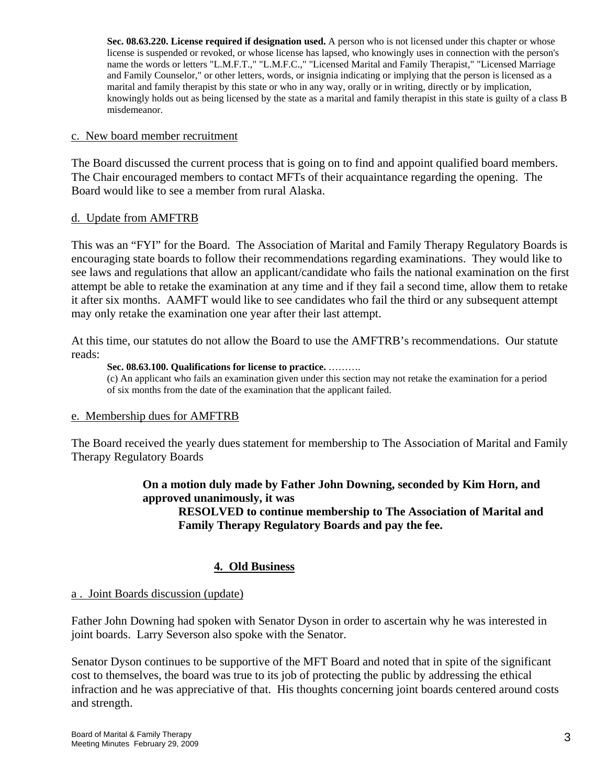**Sec. 08.63.220. License required if designation used.** A person who is not licensed under this chapter or whose license is suspended or revoked, or whose license has lapsed, who knowingly uses in connection with the person's name the words or letters "L.M.F.T.," "L.M.F.C.," "Licensed Marital and Family Therapist," "Licensed Marriage and Family Counselor," or other letters, words, or insignia indicating or implying that the person is licensed as a marital and family therapist by this state or who in any way, orally or in writing, directly or by implication, knowingly holds out as being licensed by the state as a marital and family therapist in this state is guilty of a class B misdemeanor.

#### c. New board member recruitment

The Board discussed the current process that is going on to find and appoint qualified board members. The Chair encouraged members to contact MFTs of their acquaintance regarding the opening. The Board would like to see a member from rural Alaska.

#### d. Update from AMFTRB

This was an "FYI" for the Board. The Association of Marital and Family Therapy Regulatory Boards is encouraging state boards to follow their recommendations regarding examinations. They would like to see laws and regulations that allow an applicant/candidate who fails the national examination on the first attempt be able to retake the examination at any time and if they fail a second time, allow them to retake it after six months. AAMFT would like to see candidates who fail the third or any subsequent attempt may only retake the examination one year after their last attempt.

At this time, our statutes do not allow the Board to use the AMFTRB's recommendations. Our statute reads:

#### **Sec. 08.63.100. Qualifications for license to practice.** ……….

(c) An applicant who fails an examination given under this section may not retake the examination for a period of six months from the date of the examination that the applicant failed.

### e. Membership dues for AMFTRB

The Board received the yearly dues statement for membership to The Association of Marital and Family Therapy Regulatory Boards

### **On a motion duly made by Father John Downing, seconded by Kim Horn, and approved unanimously, it was**

**RESOLVED to continue membership to The Association of Marital and Family Therapy Regulatory Boards and pay the fee.** 

# **4. Old Business**

#### a . Joint Boards discussion (update)

Father John Downing had spoken with Senator Dyson in order to ascertain why he was interested in joint boards. Larry Severson also spoke with the Senator.

Senator Dyson continues to be supportive of the MFT Board and noted that in spite of the significant cost to themselves, the board was true to its job of protecting the public by addressing the ethical infraction and he was appreciative of that. His thoughts concerning joint boards centered around costs and strength.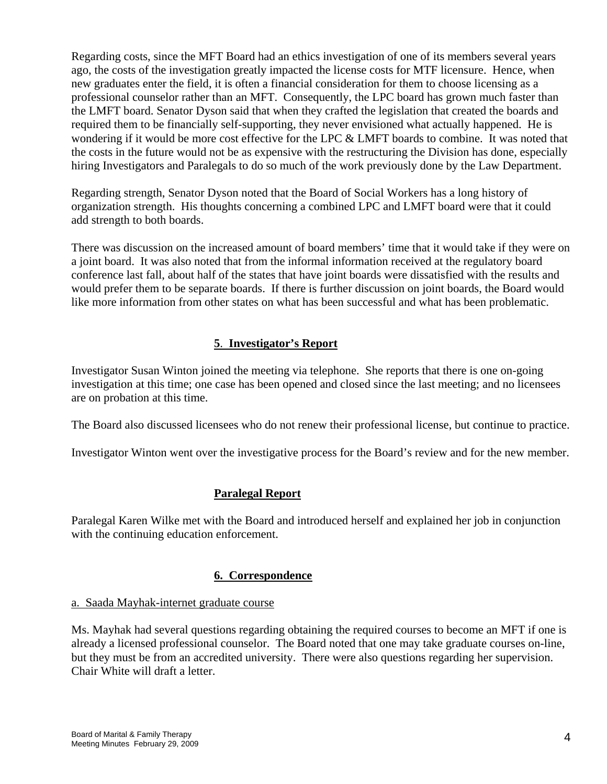Regarding costs, since the MFT Board had an ethics investigation of one of its members several years ago, the costs of the investigation greatly impacted the license costs for MTF licensure. Hence, when new graduates enter the field, it is often a financial consideration for them to choose licensing as a professional counselor rather than an MFT. Consequently, the LPC board has grown much faster than the LMFT board. Senator Dyson said that when they crafted the legislation that created the boards and required them to be financially self-supporting, they never envisioned what actually happened. He is wondering if it would be more cost effective for the LPC & LMFT boards to combine. It was noted that the costs in the future would not be as expensive with the restructuring the Division has done, especially hiring Investigators and Paralegals to do so much of the work previously done by the Law Department.

Regarding strength, Senator Dyson noted that the Board of Social Workers has a long history of organization strength. His thoughts concerning a combined LPC and LMFT board were that it could add strength to both boards.

There was discussion on the increased amount of board members' time that it would take if they were on a joint board. It was also noted that from the informal information received at the regulatory board conference last fall, about half of the states that have joint boards were dissatisfied with the results and would prefer them to be separate boards. If there is further discussion on joint boards, the Board would like more information from other states on what has been successful and what has been problematic.

# **5**. **Investigator's Report**

Investigator Susan Winton joined the meeting via telephone. She reports that there is one on-going investigation at this time; one case has been opened and closed since the last meeting; and no licensees are on probation at this time.

The Board also discussed licensees who do not renew their professional license, but continue to practice.

Investigator Winton went over the investigative process for the Board's review and for the new member.

# **Paralegal Report**

Paralegal Karen Wilke met with the Board and introduced herself and explained her job in conjunction with the continuing education enforcement.

# **6. Correspondence**

### a. Saada Mayhak-internet graduate course

Ms. Mayhak had several questions regarding obtaining the required courses to become an MFT if one is already a licensed professional counselor. The Board noted that one may take graduate courses on-line, but they must be from an accredited university. There were also questions regarding her supervision. Chair White will draft a letter.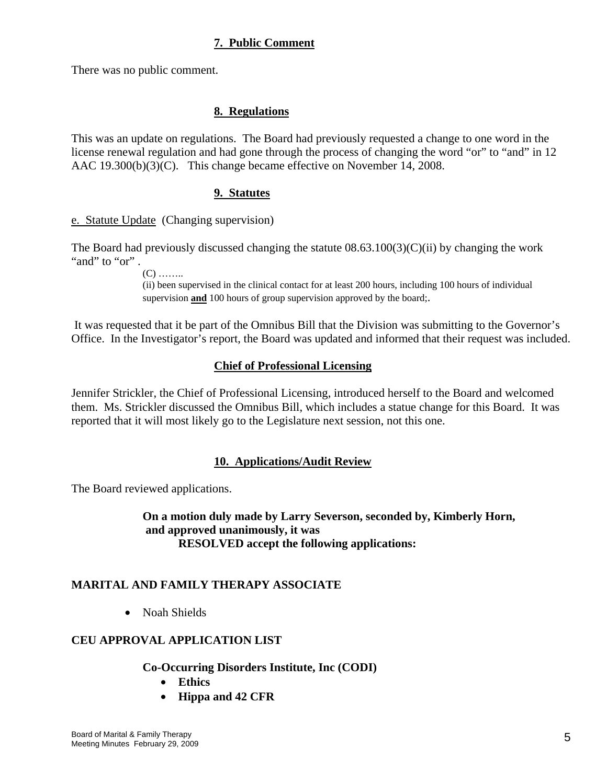# **7. Public Comment**

There was no public comment.

### **8. Regulations**

This was an update on regulations. The Board had previously requested a change to one word in the license renewal regulation and had gone through the process of changing the word "or" to "and" in 12 AAC 19.300(b)(3)(C). This change became effective on November 14, 2008.

### **9. Statutes**

e. Statute Update (Changing supervision)

The Board had previously discussed changing the statute  $(08.63.100(3)(C)(ii)$  by changing the work "and" to "or".

 $(C)$  ……

(ii) been supervised in the clinical contact for at least 200 hours, including 100 hours of individual supervision **and** 100 hours of group supervision approved by the board;.

 It was requested that it be part of the Omnibus Bill that the Division was submitting to the Governor's Office. In the Investigator's report, the Board was updated and informed that their request was included.

#### **Chief of Professional Licensing**

Jennifer Strickler, the Chief of Professional Licensing, introduced herself to the Board and welcomed them. Ms. Strickler discussed the Omnibus Bill, which includes a statue change for this Board. It was reported that it will most likely go to the Legislature next session, not this one.

### **10. Applications/Audit Review**

The Board reviewed applications.

**On a motion duly made by Larry Severson, seconded by, Kimberly Horn, and approved unanimously, it was RESOLVED accept the following applications:**

### **MARITAL AND FAMILY THERAPY ASSOCIATE**

• Noah Shields

### **CEU APPROVAL APPLICATION LIST**

#### **Co-Occurring Disorders Institute, Inc (CODI)**

- **Ethics**
- **Hippa and 42 CFR**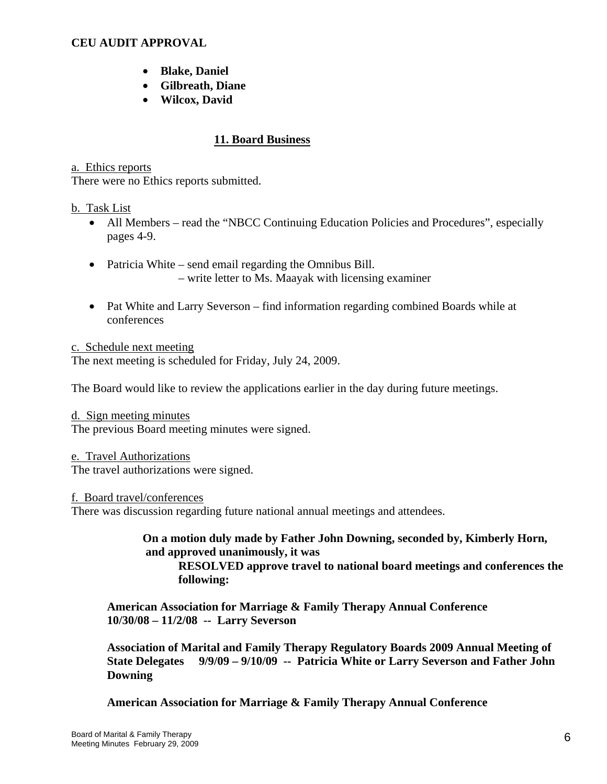### **CEU AUDIT APPROVAL**

- **Blake, Daniel**
- **Gilbreath, Diane**
- **Wilcox, David**

# **11. Board Business**

#### a. Ethics reports

There were no Ethics reports submitted.

#### b. Task List

- All Members read the "NBCC Continuing Education Policies and Procedures", especially pages 4-9.
- Patricia White send email regarding the Omnibus Bill. – write letter to Ms. Maayak with licensing examiner
- Pat White and Larry Severson find information regarding combined Boards while at conferences

c. Schedule next meeting The next meeting is scheduled for Friday, July 24, 2009.

The Board would like to review the applications earlier in the day during future meetings.

d. Sign meeting minutes The previous Board meeting minutes were signed.

e. Travel Authorizations The travel authorizations were signed.

f. Board travel/conferences

There was discussion regarding future national annual meetings and attendees.

**On a motion duly made by Father John Downing, seconded by, Kimberly Horn, and approved unanimously, it was** 

**RESOLVED approve travel to national board meetings and conferences the following:** 

**American Association for Marriage & Family Therapy Annual Conference 10/30/08 – 11/2/08 -- Larry Severson** 

**Association of Marital and Family Therapy Regulatory Boards 2009 Annual Meeting of State Delegates 9/9/09 – 9/10/09 -- Patricia White or Larry Severson and Father John Downing** 

 **American Association for Marriage & Family Therapy Annual Conference**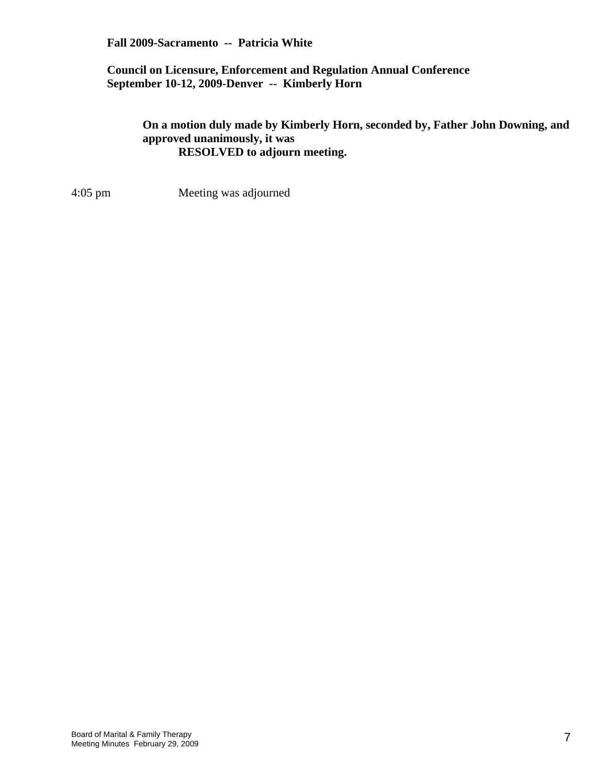### **Fall 2009-Sacramento -- Patricia White**

### **Council on Licensure, Enforcement and Regulation Annual Conference September 10-12, 2009-Denver -- Kimberly Horn**

### **On a motion duly made by Kimberly Horn, seconded by, Father John Downing, and approved unanimously, it was RESOLVED to adjourn meeting.**

4:05 pm Meeting was adjourned